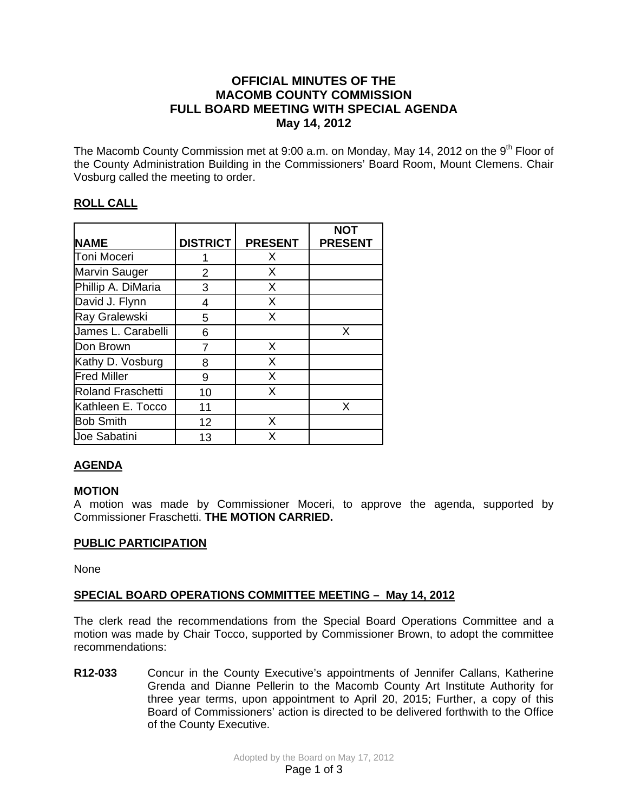### **OFFICIAL MINUTES OF THE MACOMB COUNTY COMMISSION FULL BOARD MEETING WITH SPECIAL AGENDA May 14, 2012**

The Macomb County Commission met at 9:00 a.m. on Monday, May 14, 2012 on the 9<sup>th</sup> Floor of the County Administration Building in the Commissioners' Board Room, Mount Clemens. Chair Vosburg called the meeting to order.

## **ROLL CALL**

|                     |                 |                | <b>NOT</b>     |
|---------------------|-----------------|----------------|----------------|
| <b>NAME</b>         | <b>DISTRICT</b> | <b>PRESENT</b> | <b>PRESENT</b> |
| Toni Moceri         |                 | Х              |                |
| Marvin Sauger       | 2               | X              |                |
| Phillip A. DiMaria  | 3               | X              |                |
| David J. Flynn      | 4               | X              |                |
| Ray Gralewski       | 5               | X              |                |
| James L. Carabelli  | 6               |                | X              |
| Don Brown           | 7               | X              |                |
| Kathy D. Vosburg    | 8               | X              |                |
| <b>Fred Miller</b>  | 9               | X              |                |
| Roland Fraschetti   | 10              | X              |                |
| Kathleen E. Tocco   | 11              |                | X              |
| <b>Bob Smith</b>    | 12              | X              |                |
| <b>Joe Sabatini</b> | 13              | X              |                |

# **AGENDA**

## **MOTION**

A motion was made by Commissioner Moceri, to approve the agenda, supported by Commissioner Fraschetti. **THE MOTION CARRIED.** 

### **PUBLIC PARTICIPATION**

None

## **SPECIAL BOARD OPERATIONS COMMITTEE MEETING – May 14, 2012**

The clerk read the recommendations from the Special Board Operations Committee and a motion was made by Chair Tocco, supported by Commissioner Brown, to adopt the committee recommendations:

**R12-033** Concur in the County Executive's appointments of Jennifer Callans, Katherine Grenda and Dianne Pellerin to the Macomb County Art Institute Authority for three year terms, upon appointment to April 20, 2015; Further, a copy of this Board of Commissioners' action is directed to be delivered forthwith to the Office of the County Executive.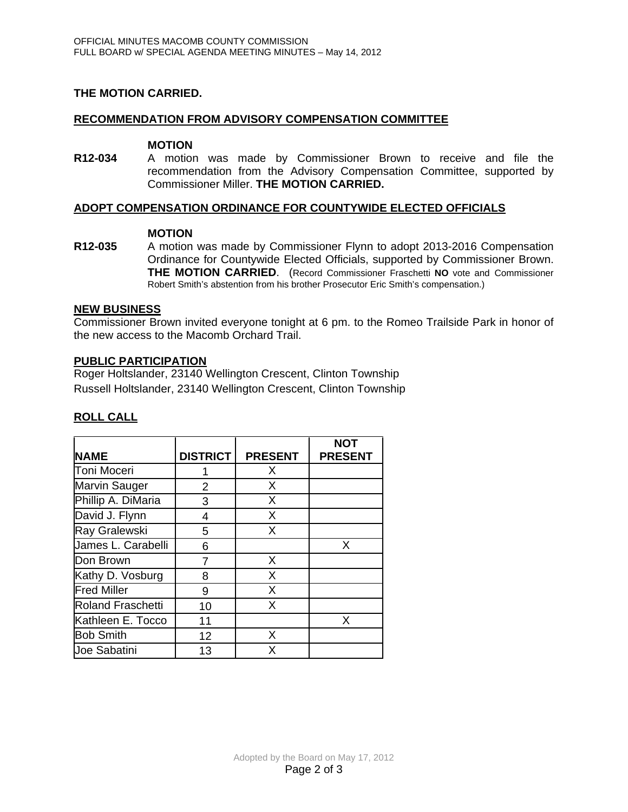### **THE MOTION CARRIED.**

#### **RECOMMENDATION FROM ADVISORY COMPENSATION COMMITTEE**

#### **MOTION**

**R12-034** A motion was made by Commissioner Brown to receive and file the recommendation from the Advisory Compensation Committee, supported by Commissioner Miller. **THE MOTION CARRIED.** 

### **ADOPT COMPENSATION ORDINANCE FOR COUNTYWIDE ELECTED OFFICIALS**

#### **MOTION**

**R12-035** A motion was made by Commissioner Flynn to adopt 2013-2016 Compensation Ordinance for Countywide Elected Officials, supported by Commissioner Brown. **THE MOTION CARRIED**. (Record Commissioner Fraschetti **NO** vote and Commissioner Robert Smith's abstention from his brother Prosecutor Eric Smith's compensation.)

### **NEW BUSINESS**

Commissioner Brown invited everyone tonight at 6 pm. to the Romeo Trailside Park in honor of the new access to the Macomb Orchard Trail.

#### **PUBLIC PARTICIPATION**

Roger Holtslander, 23140 Wellington Crescent, Clinton Township Russell Holtslander, 23140 Wellington Crescent, Clinton Township

| <b>NAME</b>              | <b>DISTRICT</b> | <b>PRESENT</b> | <b>NOT</b><br><b>PRESENT</b> |
|--------------------------|-----------------|----------------|------------------------------|
| Toni Moceri              |                 | X              |                              |
| <b>Marvin Sauger</b>     | 2               | X              |                              |
| Phillip A. DiMaria       | 3               | X              |                              |
| David J. Flynn           | 4               | Χ              |                              |
| Ray Gralewski            | 5               | X              |                              |
| James L. Carabelli       | 6               |                | X                            |
| Don Brown                | 7               | X              |                              |
| Kathy D. Vosburg         | 8               | X              |                              |
| <b>Fred Miller</b>       | 9               | X              |                              |
| <b>Roland Fraschetti</b> | 10              | X              |                              |
| Kathleen E. Tocco        | 11              |                | X                            |
| <b>Bob Smith</b>         | 12              | X              |                              |
| Joe Sabatini             | 13              | X              |                              |

## **ROLL CALL**